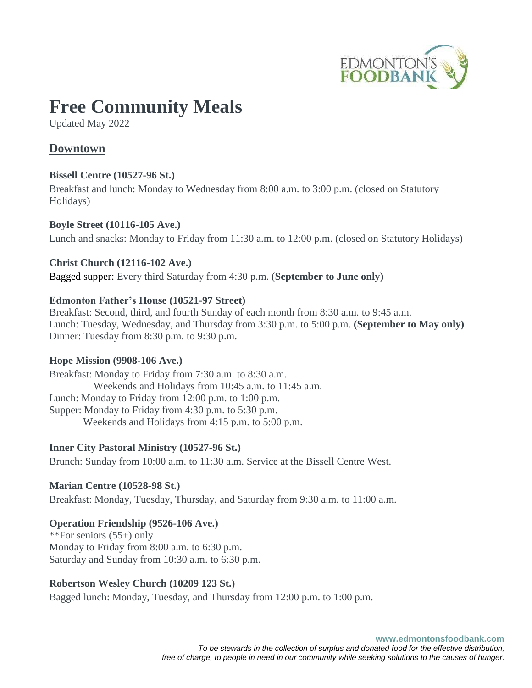

# **Free Community Meals**

Updated May 2022

# **Downtown**

## **Bissell Centre (10527-96 St.)**

Breakfast and lunch: Monday to Wednesday from 8:00 a.m. to 3:00 p.m. (closed on Statutory Holidays)

## **Boyle Street (10116-105 Ave.)**

Lunch and snacks: Monday to Friday from 11:30 a.m. to 12:00 p.m. (closed on Statutory Holidays)

## **Christ Church (12116-102 Ave.)**

Bagged supper: Every third Saturday from 4:30 p.m. (**September to June only)**

## **Edmonton Father's House (10521-97 Street)**

Breakfast: Second, third, and fourth Sunday of each month from 8:30 a.m. to 9:45 a.m. Lunch: Tuesday, Wednesday, and Thursday from 3:30 p.m. to 5:00 p.m. **(September to May only)** Dinner: Tuesday from 8:30 p.m. to 9:30 p.m.

#### **Hope Mission (9908-106 Ave.)**

Breakfast: Monday to Friday from 7:30 a.m. to 8:30 a.m. Weekends and Holidays from 10:45 a.m. to 11:45 a.m. Lunch: Monday to Friday from 12:00 p.m. to 1:00 p.m. Supper: Monday to Friday from 4:30 p.m. to 5:30 p.m. Weekends and Holidays from 4:15 p.m. to 5:00 p.m.

#### **Inner City Pastoral Ministry (10527-96 St.)**

Brunch: Sunday from 10:00 a.m. to 11:30 a.m. Service at the Bissell Centre West.

## **Marian Centre (10528-98 St.)**

Breakfast: Monday, Tuesday, Thursday, and Saturday from 9:30 a.m. to 11:00 a.m.

## **Operation Friendship (9526-106 Ave.)**

\*\*For seniors (55+) only Monday to Friday from 8:00 a.m. to 6:30 p.m. Saturday and Sunday from 10:30 a.m. to 6:30 p.m.

## **Robertson Wesley Church (10209 123 St.)**

Bagged lunch: Monday, Tuesday, and Thursday from 12:00 p.m. to 1:00 p.m.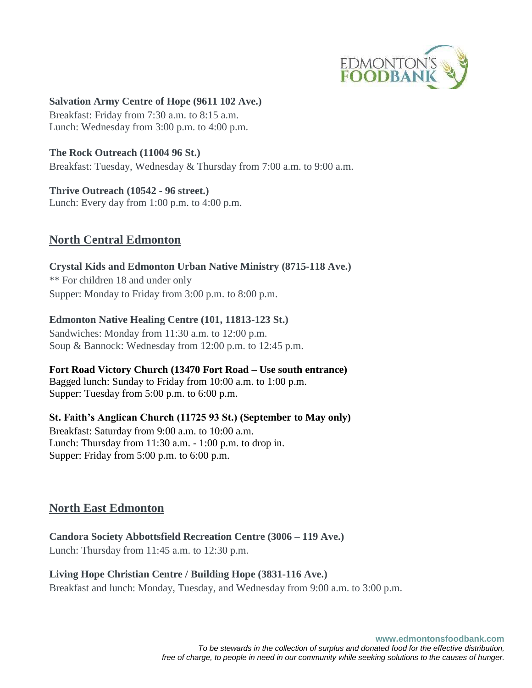

#### **Salvation Army Centre of Hope (9611 102 Ave.)**

Breakfast: Friday from 7:30 a.m. to 8:15 a.m. Lunch: Wednesday from 3:00 p.m. to 4:00 p.m.

#### **The Rock Outreach (11004 96 St.)**

Breakfast: Tuesday, Wednesday & Thursday from 7:00 a.m. to 9:00 a.m.

#### **Thrive Outreach (10542 - 96 street.)**

Lunch: Every day from 1:00 p.m. to 4:00 p.m.

## **North Central Edmonton**

## **Crystal Kids and Edmonton Urban Native Ministry (8715-118 Ave.)** \*\* For children 18 and under only Supper: Monday to Friday from 3:00 p.m. to 8:00 p.m.

#### **Edmonton Native Healing Centre (101, 11813-123 St.)**

Sandwiches: Monday from 11:30 a.m. to 12:00 p.m. Soup & Bannock: Wednesday from 12:00 p.m. to 12:45 p.m.

#### **Fort Road Victory Church (13470 Fort Road – Use south entrance)**

Bagged lunch: Sunday to Friday from 10:00 a.m. to 1:00 p.m. Supper: Tuesday from 5:00 p.m. to 6:00 p.m.

#### **St. Faith's Anglican Church (11725 93 St.) (September to May only)**

Breakfast: Saturday from 9:00 a.m. to 10:00 a.m. Lunch: Thursday from 11:30 a.m. - 1:00 p.m. to drop in. Supper: Friday from 5:00 p.m. to 6:00 p.m.

## **North East Edmonton**

# **Candora Society Abbottsfield Recreation Centre (3006 – 119 Ave.)**

Lunch: Thursday from 11:45 a.m. to 12:30 p.m.

#### **Living Hope Christian Centre / Building Hope (3831-116 Ave.)**

Breakfast and lunch: Monday, Tuesday, and Wednesday from 9:00 a.m. to 3:00 p.m.